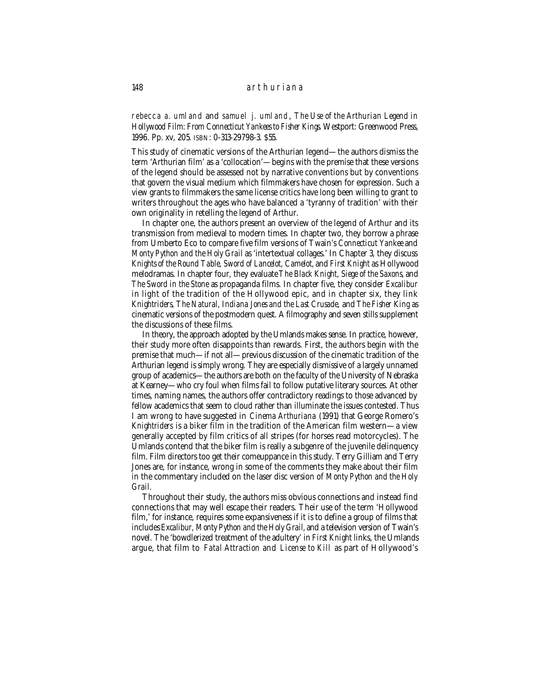## 148 arthuriana

rebecca a. umland and samuel j. umland, *The Use of the Arthurian Legend in* Hollywood Film: From Connecticut Yankees to Fisher Kings. Westport: Greenwood Press, 1996. Pp. xv, 205. ISBN: 0-313-29798-3. \$55.

This study of cinematic versions of the Arthurian legend—the authors dismiss the term 'Arthurian film' as a 'collocation'—begins with the premise that these versions of the legend should be assessed not by narrative conventions but by conventions that govern the visual medium which filmmakers have chosen for expression. Such a view grants to filmmakers the same license critics have long been willing to grant to writers throughout the ages who have balanced a 'tyranny of tradition' with their own originality in retelling the legend of Arthur.

In chapter one, the authors present an overview of the legend of Arthur and its transmission from medieval to modern times. In chapter two, they borrow a phrase from Umberto Eco to compare five film versions of Twain's *Connecticut Yankee* and *Monty Python and the Holy Grail* as 'intertextual collages.' In Chapter 3, they discuss *Knights of the Round Table, Sword of Lancelot, Camelot,* and *First Knight* as Hollywood melodramas. In chapter four, they evaluate *The Black Knight, Siege of the Saxons,* and *The Sword in the Stone* as propaganda films. In chapter five, they consider *Excalibur* in light of the tradition of the Hollywood epic, and in chapter six, they link *Knightriders, The Natural, Indiana Jones and the Last Crusade,* and *The Fisher King* as cinematic versions of the postmodern quest. A filmography and seven stills supplement the discussions of these films.

In theory, the approach adopted by the Umlands makes sense. In practice, however, their study more often disappoints than rewards. First, the authors begin with the premise that much—if not all—previous discussion of the cinematic tradition of the Arthurian legend is simply wrong. They are especially dismissive of a largely unnamed group of academics—the authors are both on the faculty of the University of Nebraska at Kearney—who cry foul when films fail to follow putative literary sources. At other times, naming names, the authors offer contradictory readings to those advanced by fellow academics that seem to cloud rather than illuminate the issues contested. Thus I am wrong to have suggested in *Cinema Arthuriana* (1991) that George Romero's *Knightriders* is a biker film in the tradition of the American film western—a view generally accepted by film critics of all stripes (for horses read motorcycles). The Umlands contend that the biker film is really a subgenre of the juvenile delinquency film. Film directors too get their comeuppance in this study. Terry Gilliam and Terry Jones are, for instance, wrong in some of the comments they make about their film in the commentary included on the laser disc version of *Monty Python and the Holy Grail.*

Throughout their study, the authors miss obvious connections and instead find connections that may well escape their readers. Their use of the term 'Hollywood film,' for instance, requires some expansiveness if it is to define a group of films that includes *Excalibur, Monty Python and the Holy Grail,* and a television version of Twain's novel. The 'bowdlerized treatment of the adultery' in *First Knight* links, the Umlands argue, that film to *Fatal Attraction* and *License to Kill* as part of Hollywood's